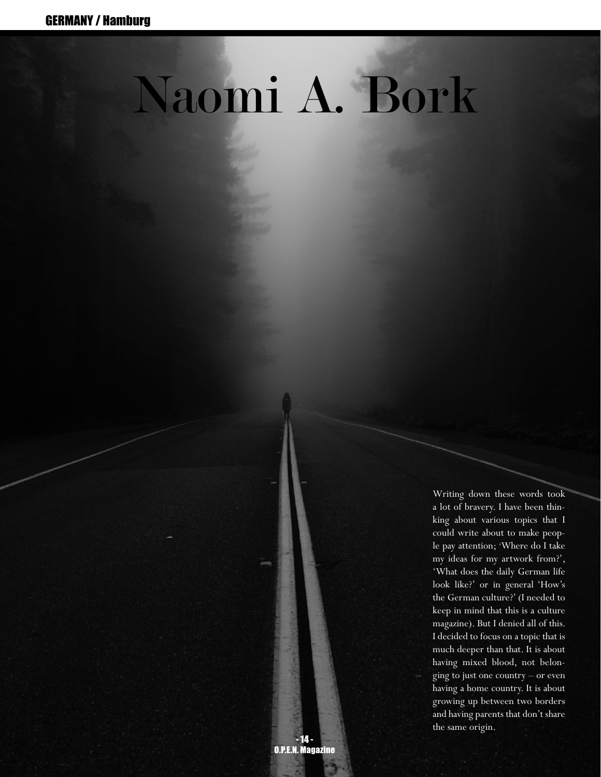## Naomi A. Bork

Writing down these words took a lot of bravery. I have been thinking about various topics that I could write about to make people pay attention; 'Where do I take my ideas for my artwork from?', 'What does the daily German life look like?' or in general 'How's the German culture?' (I needed to keep in mind that this is a culture magazine). But I denied all of this. I decided to focus on a topic that is much deeper than that. It is about having mixed blood, not belonging to just one country – or even having a home country. It is about growing up between two borders and having parents that don't share the same origin.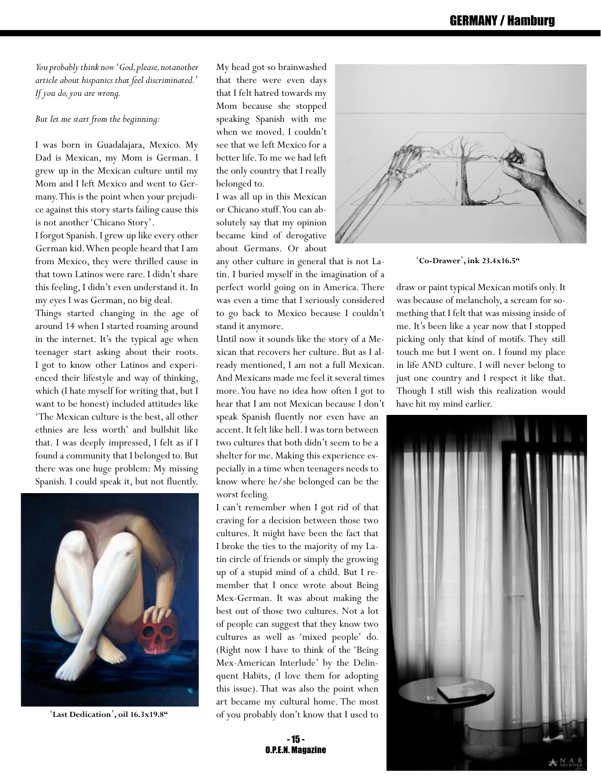## GERMANY / Hamburg

*You probably think now* '*God, please, notanother article about hispanics that feel discriminated.*' *If you do, you are wrong.*

*But let me start from the beginning:*

I was born in Guadalajara, Mexico. My Dad is Mexican, my Mom is German. I grew up in the Mexican culture until my Mom and I left Mexico and went to Germany. This is the point when your prejudice against this story starts failing cause this is not another 'Chicano Story'.

I forgot Spanish. I grew up like every other German kid. When people heard that I am from Mexico, they were thrilled cause in that town Latinos were rare. I didn't share this feeling, I didn't even understand it. In my eyes I was German, no big deal.

Things started changing in the age of around 14 when I started roaming around in the internet. It's the typical age when teenager start asking about their roots. I got to know other Latinos and experienced their lifestyle and way of thinking, which (I hate myself for writing that, but I want to be honest) included attitudes like 'The Mexican culture is the best, all other ethnies are less worth' and bullshit like that. I was deeply impressed, I felt as if I found a community that I belonged to. But there was one huge problem: My missing Spanish. I could speak it, but not fluently.



'**Last Dedication**'**, oil 16.3x19.8"**

My head got so brainwashed that there were even days that I felt hatred towards my Mom because she stopped speaking Spanish with me when we moved. I couldn't see that we left Mexico for a better life. To me we had left the only country that I really belonged to.

I was all up in this Mexican or Chicano stuff. You can absolutely say that my opinion became kind of derogative about Germans. Or about

any other culture in general that is not Latin. I buried myself in the imagination of a perfect world going on in America. There was even a time that I seriously considered to go back to Mexico because I couldn't stand it anymore.

Until now it sounds like the story of a Mexican that recovers her culture. But as I already mentioned, I am not a full Mexican. And Mexicans made me feel it several times more. You have no idea how often I got to hear that I am not Mexican because I don't speak Spanish fluently nor even have an accent. It felt like hell. I was torn between two cultures that both didn't seem to be a shelter for me. Making this experience especially in a time when teenagers needs to know where he/she belonged can be the worst feeling.

I can't remember when I got rid of that craving for a decision between those two cultures. It might have been the fact that I broke the ties to the majority of my Latin circle of friends or simply the growing up of a stupid mind of a child. But I remember that I once wrote about Being Mex-German. It was about making the best out of those two cultures. Not a lot of people can suggest that they know two cultures as well as 'mixed people' do. (Right now I have to think of the 'Being Mex-American Interlude' by the Delinquent Habits, (I love them for adopting this issue). That was also the point when art became my cultural home. The most of you probably don't know that I used to



'**Co-Drawer**'**, ink 23.4x16.5"**

draw or paint typical Mexican motifs only. It was because of melancholy, a scream for something that I felt that was missing inside of me. It's been like a year now that I stopped picking only that kind of motifs. They still touch me but I went on. I found my place in life AND culture. I will never belong to just one country and I respect it like that. Though I still wish this realization would have hit my mind earlier.



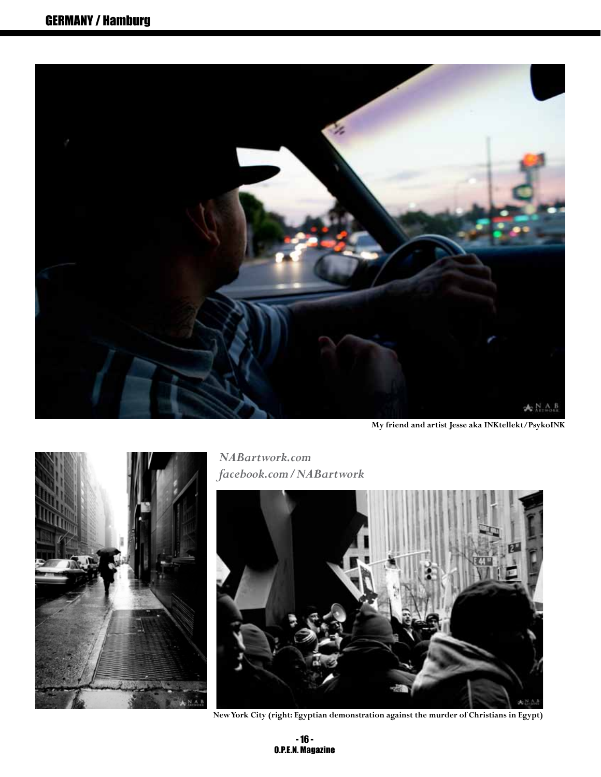

**My friend and artist Jesse aka INKtellekt/PsykoINK**



*NABartwork.com facebook.com/NABartwork* 



**New York City (right: Egyptian demonstration against the murder of Christians in Egypt)**